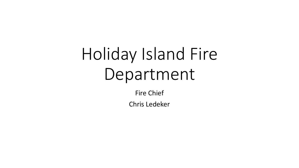# Holiday Island Fire Department

Fire Chief

Chris Ledeker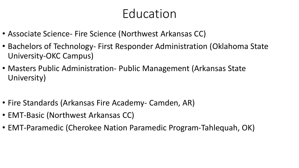#### Education

- Associate Science- Fire Science (Northwest Arkansas CC)
- Bachelors of Technology- First Responder Administration (Oklahoma State University-OKC Campus)
- Masters Public Administration- Public Management (Arkansas State University)
- Fire Standards (Arkansas Fire Academy- Camden, AR)
- EMT-Basic (Northwest Arkansas CC)
- EMT-Paramedic (Cherokee Nation Paramedic Program-Tahlequah, OK)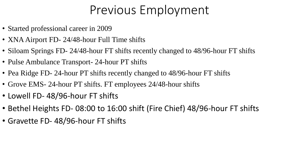#### Previous Employment

- Started professional career in 2009
- XNA Airport FD- 24/48-hour Full Time shifts
- Siloam Springs FD- 24/48-hour FT shifts recently changed to 48/96-hour FT shifts
- Pulse Ambulance Transport- 24-hour PT shifts
- Pea Ridge FD- 24-hour PT shifts recently changed to 48/96-hour FT shifts
- Grove EMS- 24-hour PT shifts. FT employees 24/48-hour shifts
- Lowell FD- 48/96-hour FT shifts
- Bethel Heights FD- 08:00 to 16:00 shift (Fire Chief) 48/96-hour FT shifts
- Gravette FD- 48/96-hour FT shifts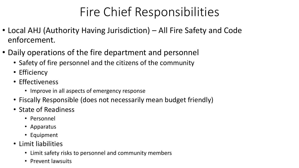## Fire Chief Responsibilities

- Local AHJ (Authority Having Jurisdiction) All Fire Safety and Code enforcement.
- Daily operations of the fire department and personnel
	- Safety of fire personnel and the citizens of the community
	- Efficiency
	- Effectiveness
		- Improve in all aspects of emergency response
	- Fiscally Responsible (does not necessarily mean budget friendly)
	- State of Readiness
		- Personnel
		- Apparatus
		- Equipment
	- Limit liabilities
		- Limit safety risks to personnel and community members
		- Prevent lawsuits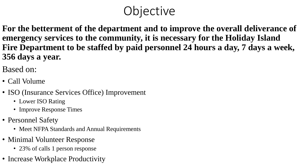## **Objective**

**For the betterment of the department and to improve the overall deliverance of emergency services to the community, it is necessary for the Holiday Island Fire Department to be staffed by paid personnel 24 hours a day, 7 days a week, 356 days a year.** 

Based on:

- Call Volume
- ISO (Insurance Services Office) Improvement
	- Lower ISO Rating
	- Improve Response Times
- Personnel Safety
	- Meet NFPA Standards and Annual Requirements
- Minimal Volunteer Response
	- 23% of calls 1 person response
- Increase Workplace Productivity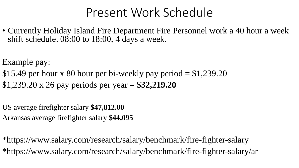#### Present Work Schedule

• Currently Holiday Island Fire Department Fire Personnel work a 40 hour a week shift schedule. 08:00 to 18:00, 4 days a week.

Example pay:

\$15.49 per hour x 80 hour per bi-weekly pay period  $= $1,239.20$ \$1,239.20 x 26 pay periods per year = **\$32,219.20**

US average firefighter salary **\$47,812.00** Arkansas average firefighter salary **\$44,095** 

\*https://www.salary.com/research/salary/benchmark/fire-fighter-salary \*https://www.salary.com/research/salary/benchmark/fire-fighter-salary/ar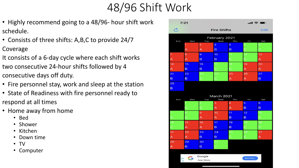#### 48/96 Shift Work

- Highly recommend going to a 48/96- hour shift work schedule.
- Consists of three shifts: A,B,C to provide 24/7 Coverage
- It consists of a 6-day cycle where each shift works two consecutive 24-hour shifts followed by 4 consecutive days off duty.
- Fire personnel stay, work and sleep at the station
- State of Readiness with fire personnel ready to respond at all times
- Home away from home
	- Bed
	- Shower
	- Kitchen
	- Down time
	- TV
	- Computer

| 7:21                    |                         |                |                      |              | "               | $\begin{pmatrix} 1 & 1 \\ 1 & 1 \end{pmatrix}$ |
|-------------------------|-------------------------|----------------|----------------------|--------------|-----------------|------------------------------------------------|
| $\mathfrak{C}$          | <b>Fire Shifts</b>      |                |                      |              |                 | <b>Edit</b>                                    |
| Sun                     | Mon                     | Tue            | February 2021<br>Wed | Thu          | Fri             | Sat                                            |
|                         | 1                       | $\overline{2}$ | 3                    | 4            | 5               | 6                                              |
|                         | A                       | A              | B                    | B            | Ċ               | C                                              |
| 7                       | 8                       | $\Theta$       | 10                   | 11           | $\overline{12}$ | 13                                             |
| A                       | $\overline{\mathsf{A}}$ | B              | B                    | $\mathsf{C}$ | C               | A                                              |
| 14                      | 15                      | 16             | 17                   | 18           | 19              | 20                                             |
| $\overline{\mathsf{A}}$ | B                       | B              | $\mathbf C$          | Ċ            | A               | A                                              |
| 21                      | 22                      | 23             | 24                   | 25           | 26              | 27                                             |
| B                       | B                       | $\mathsf{C}$   | Ċ                    | A            | А               | B                                              |
| 28                      |                         |                |                      |              |                 |                                                |
| B                       |                         |                |                      |              |                 |                                                |
|                         |                         |                | March 2021           |              |                 |                                                |
| Sun                     | Mon                     | Tue            | Wed                  | Thu          | Fri             | Sat                                            |
|                         | 1                       |                | 3                    | 4            | 5               | 6                                              |
|                         |                         | Ċ              | A                    | A            | B               | B                                              |
|                         | 8                       | $\Theta$       | 10                   | 11           | 12              | 13                                             |
|                         | Ċ                       | A              | A                    | B            | B               | $\mathbf C$                                    |
| $\overline{14}$         | 15                      | 16             | 17                   | 18           | 19              | 20                                             |
| С                       | Ä                       | A              | B                    | B            | C               | Ċ                                              |
| 21                      | 22                      | 23             | 24                   | 25           | 26              | 27                                             |
| $\overline{\mathsf{A}}$ | A                       | B              | B                    | Ċ            | Ċ               | A                                              |
| 28                      | 29                      | 30             | 31                   |              |                 |                                                |
| А                       | $\overline{B}$          | B              | $\mathbf C$          |              |                 |                                                |
|                         |                         |                |                      |              |                 |                                                |
|                         | G                       | Google         |                      |              |                 |                                                |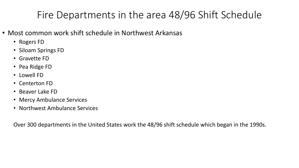#### Fire Departments in the area 48/96 Shift Schedule

- Most common work shift schedule in Northwest Arkansas
	- Rogers FD
	- Siloam Springs FD
	- Gravette FD
	- Pea Ridge FD
	- Lowell FD
	- Centerton FD
	- Beaver Lake FD
	- Mercy Ambulance Services
	- Northwest Ambulance Services

Over 300 departments in the United States work the 48/96 shift schedule which began in the 1990s.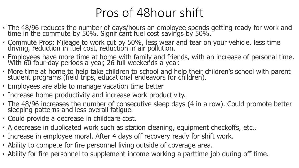## Pros of 48hour shift

- The 48/96 reduces the number of days/hours an employee spends getting ready for work and time in the commute by 50%. Significant fuel cost savings by 50%.
- Commute Pros: Mileage to work cut by 50%, less wear and tear on your vehicle, less time driving, reduction in fuel cost, reduction in air pollution.
- Employees have more time at home with family and friends, with an increase of personal time. With 60 four-day periods a year, 26 full weekends a year.
- More time at home to help take children to school and help their children's school with parent student programs (field trips, educational endeavors for children).
- Employees are able to manage vacation time better
- Increase home productivity and increase work productivity.
- The 48/96 increases the number of consecutive sleep days (4 in a row). Could promote better sleeping patterns and less overall fatigue.
- Could provide a decrease in childcare cost.
- A decrease in duplicated work such as station cleaning, equipment checkoffs, etc..
- Increase in employee moral. After 4 days off recovery ready for shift work.
- Ability to compete for fire personnel living outside of coverage area.
- Ability for fire personnel to supplement income working a parttime job during off time.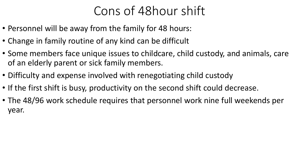### Cons of 48hour shift

- Personnel will be away from the family for 48 hours:
- Change in family routine of any kind can be difficult
- Some members face unique issues to childcare, child custody, and animals, care of an elderly parent or sick family members.
- Difficulty and expense involved with renegotiating child custody
- If the first shift is busy, productivity on the second shift could decrease.
- The 48/96 work schedule requires that personnel work nine full weekends per year.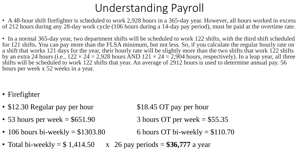#### Understanding Payroll

• A 48-hour shift firefighter is scheduled to work 2,928 hours in a 365-day year. However, all hours worked in excess of 212 hours during any 28-day work cycle (106 hours during a 14-day pay period), must be paid at the overtime rate.

• In a normal 365-day year, two department shifts will be scheduled to work 122 shifts, with the third shift scheduled for 121 shifts. You can pay more than the FLSA minimum, but not less. So, if you calculate the regular hourly rate on a shift that works 121 days for the year, their hourly rate will be slightly more than the two shifts that work 122 shifts by an extra 24 hours (i.e.,  $122 \times 24 = 2,928$  hours AND  $121 \times 24 = 2,904$  hours, respectively). In a leap year, all three shifts will be scheduled to work 122 shifts that year. An average of 2912 hours is used to determine annual pay. 56 hours per week x 52 weeks in a year.

- Firefighter
- \$12.30 Regular pay per hour \$18.45 OT pay per hour
- 53 hours per week  $= $651.90$  3 hours OT per week  $= $55.35$
- 106 hours bi-weekly  $= $1303.80$  6 hours OT bi-weekly  $= $110.70$

- 
- 
- Total bi-weekly  $= $ 1,414.50 \times 26$  pay periods  $= $36,777$  a year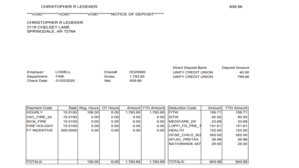#### **CHRISTOPHER R LEDEKER**

#### \*\*\*VOID\*\*\*\*\*\*\*\*\*VOID\*\*\*\*\*\*\*\*\*\*VOID\*\*\*\*\*\*\*\*NOTICE OF DEPOSIT\*\*\*\*\*\*\*

**CHRISTOPHER R LEDEKER** 3119 CHELSEY LANE SPRINGDALE, AR 72764

|                    |               |        |          | <b>Direct Deposit Bank</b> | <b>Deposit Amount</b> |
|--------------------|---------------|--------|----------|----------------------------|-----------------------|
| Employer:          | <b>LOWELL</b> | Check# | DD25982  | UNIFY CREDIT UNION         | 40.00                 |
| Department:        | <b>FIRE</b>   | Gross: | 1.783.65 | UNIFY CREDIT UNION         | 799.66                |
| <b>Check Date:</b> | 01/02/2020    | Net:   | 839.66   |                            |                       |

| <b>Payment Code</b> |          | Rate Reg. Hours | OT Hours |          | Amount YTD Amount | <b>Deduction Code</b> | Amount | <b>YTD Amount</b> |
|---------------------|----------|-----------------|----------|----------|-------------------|-----------------------|--------|-------------------|
| <b>HOURLY</b>       | 15.5100  | 106.00          | 6.00     | 1,783.65 | 1,783.65          | <b>FITW</b>           | 159.71 | 159.71            |
| VAC FIRE 24         | 15.5100  | 0.00            | 0.00     | 0.00     | 0.00              | <b>SITW</b>           | 82.00  | 82.00             |
| <b>SICK FIRE</b>    | 15.5100  | 0.00            | 0.00     | 0.00     | 0.00              | <b>MEDICARE EE</b>    | 23.69  | 23.69             |
| <b>FIRE HOLIDAY</b> | 15.5100  | 0.00            | 0.00     | 0.00     | 0.00              | LOPFI FD PRE 1        | 151.61 | 151.61            |
| <b>FT INCENTIVE</b> | 200.0000 | 0.00            | 0.00     | 0.00     | 0.00              | <b>HEALTH</b>         | 123.00 | 123.00            |
|                     |          |                 |          |          |                   | <b>OCSE CHILD SU</b>  | 352.00 | 352.00            |
|                     |          |                 |          |          |                   | <b>AFLAC PRETAX</b>   | 26.98  | 26.98             |
|                     |          |                 |          |          |                   | NATIONWIDE 457        | 25.00  | 25.00             |
|                     |          |                 |          |          |                   |                       |        |                   |
|                     |          |                 |          |          |                   |                       |        |                   |
|                     |          |                 |          |          |                   |                       |        |                   |
| <b>TOTALS:</b>      |          | 106.00          | 6.00     | 1,783.65 | 1,783.65          | <b>TOTALS:</b>        | 943.99 | 943.99            |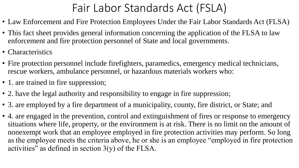#### Fair Labor Standards Act (FSLA)

- Law Enforcement and Fire Protection Employees Under the Fair Labor Standards Act (FLSA)
- This fact sheet provides general information concerning the application of the FLSA to law enforcement and fire protection personnel of State and local governments.
- Characteristics
- Fire protection personnel include firefighters, paramedics, emergency medical technicians, rescue workers, ambulance personnel, or hazardous materials workers who:
- 1. are trained in fire suppression;
- 2. have the legal authority and responsibility to engage in fire suppression;
- 3. are employed by a fire department of a municipality, county, fire district, or State; and
- 4. are engaged in the prevention, control and extinguishment of fires or response to emergency situations where life, property, or the environment is at risk. There is no limit on the amount of nonexempt work that an employee employed in fire protection activities may perform. So long as the employee meets the criteria above, he or she is an employee "employed in fire protection activities" as defined in section  $3(y)$  of the FLSA.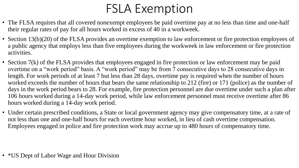## FSLA Exemption

- The FLSA requires that all covered nonexempt employees be paid overtime pay at no less than time and one-half their regular rates of pay for all hours worked in excess of 40 in a workweek.
- Section 13(b)(20) of the FLSA provides an overtime exemption to law enforcement or fire protection employees of a public agency that employs less than five employees during the workweek in law enforcement or fire protection activities.
- Section 7(k) of the FLSA provides that employees engaged in fire protection or law enforcement may be paid overtime on a "work period" basis. A "work period" may be from 7 consecutive days to 28 consecutive days in length. For work periods of at least 7 but less than 28 days, overtime pay is required when the number of hours worked exceeds the number of hours that bears the same relationship to 212 (fire) or 171 (police) as the number of days in the work period bears to 28. For example, fire protection personnel are due overtime under such a plan after 106 hours worked during a 14-day work period, while law enforcement personnel must receive overtime after 86 hours worked during a 14-day work period.
- Under certain prescribed conditions, a State or local government agency may give compensatory time, at a rate of not less than one and one-half hours for each overtime hour worked, in lieu of cash overtime compensation. Employees engaged in police and fire protection work may accrue up to 480 hours of compensatory time.

• \* US Dept of Labor Wage and Hour Division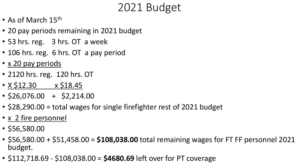#### 2021 Budget

- As of March 15<sup>th</sup>
- 20 pay periods remaining in 2021 budget
- 53 hrs. reg. 3 hrs. OT a week
- 106 hrs. reg. 6 hrs. OT a pay period
- x 20 pay periods
- 2120 hrs. reg. 120 hrs. OT
- $X \, \text{\$}12.30 \times \text{\$}18.45$
- $\cdot$  \$26,076.00 + \$2,214.00
- \$28,290.00 = total wages for single firefighter rest of 2021 budget
- x 2 fire personnel
- \$56,580.00
- \$56,580.00 + \$51,458.00 = **\$108,038.00** total remaining wages for FT FF personnel 2021 budget.
- \$112,718.69 \$108,038.00 = **\$4680.69** left over for PT coverage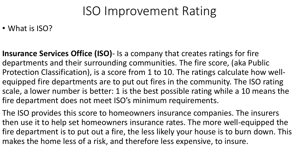### ISO Improvement Rating

#### • What is ISO?

**Insurance Services Office (ISO)**- Is a company that creates ratings for fire departments and their surrounding communities. The fire score, (aka Public Protection Classification), is a score from 1 to 10. The ratings calculate how wellequipped fire departments are to put out fires in the community. The ISO rating scale, a lower number is better: 1 is the best possible rating while a 10 means the fire department does not meet ISO's minimum requirements.

The ISO provides this score to homeowners insurance companies. The insurers then use it to help set homeowners insurance rates. The more well-equipped the fire department is to put out a fire, the less likely your house is to burn down. This makes the home less of a risk, and therefore less expensive, to insure.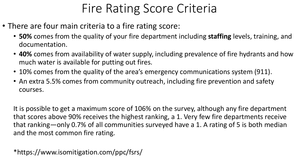## Fire Rating Score Criteria

- There are four main criteria to a fire rating score:
	- **50%** comes from the quality of your fire department including **staffing** levels, training, and documentation.
	- **40%** comes from availability of water supply, including prevalence of fire hydrants and how much water is available for putting out fires.
	- 10% comes from the quality of the area's emergency communications system (911).
	- An extra 5.5% comes from community outreach, including fire prevention and safety courses.

It is possible to get a maximum score of 106% on the survey, although any fire department that scores above 90% receives the highest ranking, a 1. Very few fire departments receive that ranking—only 0.7% of all communities surveyed have a 1. A rating of 5 is both median and the most common fire rating.

\*https://www.isomitigation.com/ppc/fsrs/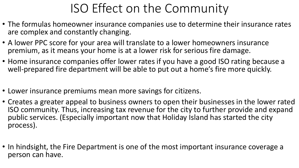## ISO Effect on the Community

- The formulas homeowner insurance companies use to determine their insurance rates are complex and constantly changing.
- A lower PPC score for your area will translate to a lower homeowners insurance premium, as it means your home is at a lower risk for serious fire damage.
- Home insurance companies offer lower rates if you have a good ISO rating because a well-prepared fire department will be able to put out a home's fire more quickly.
- Lower insurance premiums mean more savings for citizens.
- Creates a greater appeal to business owners to open their businesses in the lower rated ISO community. Thus, increasing tax revenue for the city to further provide and expand public services. (Especially important now that Holiday Island has started the city process).
- In hindsight, the Fire Department is one of the most important insurance coverage a person can have.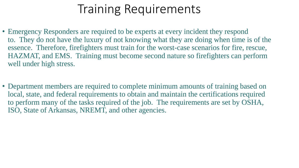#### Training Requirements

- Emergency Responders are required to be experts at every incident they respond to. They do not have the luxury of not knowing what they are doing when time is of the essence. Therefore, firefighters must train for the worst-case scenarios for fire, rescue, HAZMAT, and EMS. Training must become second nature so firefighters can perform well under high stress.
- Department members are required to complete minimum amounts of training based on local, state, and federal requirements to obtain and maintain the certifications required to perform many of the tasks required of the job. The requirements are set by OSHA, ISO, State of Arkansas, NREMT, and other agencies.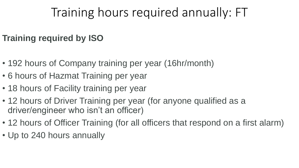## Training hours required annually: FT

#### **Training required by ISO**

- 192 hours of Company training per year (16hr/month)
- 6 hours of Hazmat Training per year
- 18 hours of Facility training per year
- 12 hours of Driver Training per year (for anyone qualified as a driver/engineer who isn't an officer)
- 12 hours of Officer Training (for all officers that respond on a first alarm)
- Up to 240 hours annually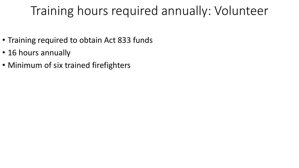### Training hours required annually: Volunteer

- Training required to obtain Act 833 funds
- 16 hours annually
- Minimum of six trained firefighters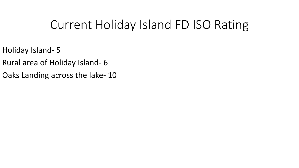#### Current Holiday Island FD ISO Rating

- Holiday Island- 5
- Rural area of Holiday Island- 6
- Oaks Landing across the lake- 10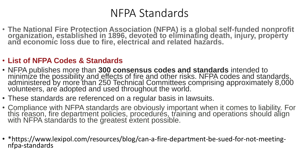#### NFPA Standards

• **The National Fire Protection Association (NFPA) is a global self-funded nonprofit organization, established in 1896, devoted to eliminating death, injury, property and economic loss due to fire, electrical and related hazards.**

#### • **List of NFPA Codes & Standards**

- NFPA publishes more than **300 consensus codes and standards** intended to minimize the possibility and effects of fire and other risks. NFPA codes and standards, administered by more than 250 Technical Committees comprising approximately 8,000 volunteers, are adopted and used throughout the world.
- These standards are referenced on a regular basis in lawsuits.
- Compliance with NFPA standards are obviously important when it comes to liability. For this reason, fire department policies, procedures, training and operations should align with NFPA standards to the greatest extent possible.
- \*https://www.lexipol.com/resources/blog/can-a-fire-department-be-sued-for-not-meetingnfpa-standards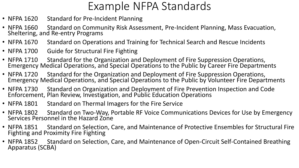#### Example NFPA Standards

- NFPA 1620 Standard for Pre-Incident Planning
- NFPA 1660 Standard on Community Risk Assessment, Pre-Incident Planning, Mass Evacuation, Sheltering, and Re-entry Programs
- NFPA 1670 Standard on Operations and Training for Technical Search and Rescue Incidents
- NFPA 1700 Guide for Structural Fire Fighting
- NFPA 1710 Standard for the Organization and Deployment of Fire Suppression Operations, Emergency Medical Operations, and Special Operations to the Public by Career Fire Departments
- NFPA 1720 Standard for the Organization and Deployment of Fire Suppression Operations, Emergency Medical Operations, and Special Operations to the Public by Volunteer Fire Departments
- NFPA 1730 Standard on Organization and Deployment of Fire Prevention Inspection and Code Enforcement, Plan Review, Investigation, and Public Education Operations
- NFPA 1801 Standard on Thermal Imagers for the Fire Service
- NFPA 1802 Standard on Two-Way, Portable RF Voice Communications Devices for Use by Emergency Services Personnel in the Hazard Zone
- NFPA 1851 Standard on Selection, Care, and Maintenance of Protective Ensembles for Structural Fire Fighting and Proximity Fire Fighting
- NFPA 1852 Standard on Selection, Care, and Maintenance of Open-Circuit Self-Contained Breathing Apparatus (SCBA)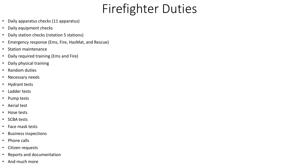## Firefighter Duties

- Daily apparatus checks (11 apparatus)
- Daily equipment checks
- Daily station checks (rotation 5 stations)
- Emergency response (Ems, Fire, HazMat, and Rescue)
- Station maintenance
- Daily required training (Ems and Fire)
- Daily physical training
- Random duties
- Necessary needs
- Hydrant tests
- Ladder tests
- Pump tests
- Aerial test
- Hose tests
- SCBA tests
- Face mask tests
- Business inspections
- Phone calls
- Citizen requests
- Reports and documentation
- And much more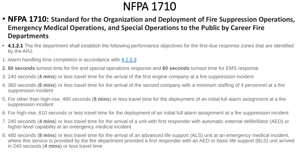#### NFPA 1710

- **NFPA 1710: Standard for the Organization and Deployment of Fire Suppression Operations, Emergency Medical Operations, and Special Operations to the Public by Career Fire Departments**
- **4.1.2.1** The fire department shall establish the following performance objectives for the first-due response zones that are identified by the AHJ:
- 1. Alarm handling time completion in accordance with [4.1.2.3](https://codesonline.nfpa.org/code/f12834fe-86a1-451f-b4a2-1fd393ee36a3/cec94d60-0227-46ea-98cb-ef57034cbba3/np_cfac1f56-1f41-11e9-bc1c-6bc9d7524e7b.html#ID017100000124)
- **2. 80 seconds** turnout time for fire and special operations response and **60 seconds** turnout time for EMS response
- 3. 240 seconds (**4 mins**) or less travel time for the arrival of the first engine company at a fire suppression incident
- 4. 360 seconds (**6 mins**) or less travel time for the arrival of the second company with a minimum staffing of 4 personnel at a fire suppression incident
- 5. For other than high-rise, 480 seconds (**8 mins**) or less travel time for the deployment of an initial full alarm assignment at a fire suppression incident
- 6. For high-rise, 610 seconds or less travel time for the deployment of an initial full alarm assignment at a fire suppression incident
- 7. 240 seconds (**4 mins**) or less travel time for the arrival of a unit with first responder with automatic external defibrillator (AED) or higher-level capability at an emergency medical incident
- 8. 480 seconds (**8 mins**) or less travel time for the arrival of an advanced life support (ALS) unit at an emergency medical incident, where this service is provided by the fire department provided a first responder with an AED or basic life support (BLS) unit arrived in 240 seconds (**4 mins**) or less travel time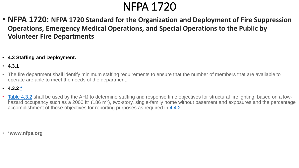#### NFPA 1720

- **NFPA 1720: NFPA 1720 Standard for the Organization and Deployment of Fire Suppression Operations, Emergency Medical Operations, and Special Operations to the Public by Volunteer Fire Departments**
- **4.3 Staffing and Deployment.**
- **4.3.1**
- The fire department shall identify minimum staffing requirements to ensure that the number of members that are available to operate are able to meet the needs of the department.
- **4.3.2 [\\*](https://codesonline.nfpa.org/code/77f5930d-8b6b-4db7-8834-d3674f086360/ac3be004-2823-4116-9dd9-f3d8536268a3/np_e551cafe-1a71-11e9-82e7-65932cbd9c88.html#ID017200000195)**
- [Table 4.3.2](https://codesonline.nfpa.org/code/77f5930d-8b6b-4db7-8834-d3674f086360/ac3be004-2823-4116-9dd9-f3d8536268a3/np_e1914057-1a71-11e9-82e7-65932cbd9c88.html#ID017200000095) shall be used by the AHJ to determine staffing and response time objectives for structural firefighting, based on a lowhazard occupancy such as a 2000 ft<sup>2</sup> (186 m<sup>2</sup>), two-story, single-family home without basement and exposures and the percentage accomplishment of those objectives for reporting purposes as required in [4.4.2](https://codesonline.nfpa.org/code/77f5930d-8b6b-4db7-8834-d3674f086360/ac3be004-2823-4116-9dd9-f3d8536268a3/np_e15f0cbb-1a71-11e9-82e7-65932cbd9c88.html#ID017200000103).

• \***www.nfpa.org**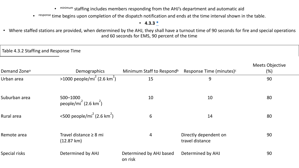• minimum staffing includes members responding from the AHJ's department and automatic aid

 $\bullet$ response time begins upon completion of the dispatch notification and ends at the time interval shown in the table.

• **4.3.3 [\\*](https://codesonline.nfpa.org/code/77f5930d-8b6b-4db7-8834-d3674f086360/ac3be004-2823-4116-9dd9-f3d8536268a3/np_e54b896d-1a71-11e9-82e7-65932cbd9c88.html#ID017200000244)**

• Where staffed stations are provided, when determined by the AHJ, they shall have a turnout time of 90 seconds for fire and special operations and 60 seconds for EMS, 90 percent of the time.

#### Table 4.3.2 Staffing and Response Time

| Demand Zone <sup>a</sup> | Demographics                                              | Minimum Staff to Respond <sup>b</sup> | Response Time (minutes) <sup>c</sup>     | <b>Meets Objective</b><br>$(\%)$ |
|--------------------------|-----------------------------------------------------------|---------------------------------------|------------------------------------------|----------------------------------|
| Urban area               | $>1000$ people/mi <sup>2</sup> (2.6 km <sup>2</sup> )     | 15                                    | 9                                        | 90                               |
| Suburban area            | 500-1000<br>people/mi <sup>2</sup> (2.6 km <sup>2</sup> ) | 10                                    | 10                                       | 80                               |
| Rural area               | <500 people/mi <sup>2</sup> (2.6 km <sup>2</sup> )        | 6                                     | 14                                       | 80                               |
| Remote area              | Travel distance $\geq 8$ mi<br>$(12.87 \text{ km})$       | 4                                     | Directly dependent on<br>travel distance | 90                               |
| Special risks            | Determined by AHJ                                         | Determined by AHJ based               | Determined by AHJ                        | 90                               |

on risk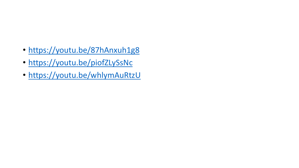- <https://youtu.be/87hAnxuh1g8>
- <https://youtu.be/piofZLySsNc>
- <https://youtu.be/whlymAuRtzU>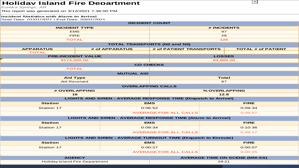#### **Holiday Island Fire Department**

#### **Incident Statistics with Alarm to Arrival**

| <b>Holiday Island Fire Department</b><br>Eureka Springs, AR<br>This report was generated on 3/12/2021 7:36:00 PM |                   |                                                                       | $\sim$                               |  |
|------------------------------------------------------------------------------------------------------------------|-------------------|-----------------------------------------------------------------------|--------------------------------------|--|
| <b>Incident Statistics with Alarm to Arrival</b><br>Start Date: 01/01/2021   End Date: 03/01/2021                |                   |                                                                       |                                      |  |
|                                                                                                                  |                   | <b>INCIDENT COUNT</b>                                                 |                                      |  |
| <b>INCIDENT TYPE</b>                                                                                             |                   |                                                                       | # INCIDENTS                          |  |
| <b>EMS</b>                                                                                                       |                   |                                                                       | 97                                   |  |
| <b>FIRE</b>                                                                                                      |                   |                                                                       | 28                                   |  |
| <b>TOTAL</b>                                                                                                     |                   |                                                                       | $125$                                |  |
|                                                                                                                  |                   | <b>TOTAL TRANSPORTS (N2 and N3)</b>                                   |                                      |  |
| <b>APPARATUS</b>                                                                                                 | # of APPARATUS    | # of PATIENT TRANSPORTS                                               | <b>TOTAL # of PATIENT</b>            |  |
| <b>TOTAL</b>                                                                                                     |                   |                                                                       |                                      |  |
| <b>PRE-INCIDENT VALUE</b><br>\$174,000.00                                                                        |                   |                                                                       | <b>LOSSES</b><br>\$3,800.00          |  |
|                                                                                                                  |                   | <b>CO CHECKS</b>                                                      |                                      |  |
| <b>TOTAL</b>                                                                                                     |                   |                                                                       |                                      |  |
|                                                                                                                  | <b>MUTUAL AID</b> |                                                                       |                                      |  |
| Total<br><b>Aid Type</b>                                                                                         |                   |                                                                       |                                      |  |
| <b>Aid Received</b>                                                                                              |                   | 87                                                                    |                                      |  |
|                                                                                                                  |                   | <b>OVERLAPPING CALLS</b>                                              |                                      |  |
| # OVERLAPPING                                                                                                    |                   |                                                                       | % OVERLAPPING                        |  |
| 16                                                                                                               |                   |                                                                       | 12.8                                 |  |
|                                                                                                                  |                   | <b>LIGHTS AND SIREN - AVERAGE RESPONSE TIME (Dispatch to Arrival)</b> |                                      |  |
| <b>Station</b>                                                                                                   |                   | <b>EMS</b>                                                            | <b>FIRE</b>                          |  |
| Station 17                                                                                                       |                   | 0:06:52                                                               | 0:09:34                              |  |
|                                                                                                                  |                   | <b>AVERAGE FOR ALL CALLS</b>                                          | 0:06:57                              |  |
|                                                                                                                  |                   | <b>LIGHTS AND SIREN - AVERAGE RESPONSE TIME (Alarm to Arrival)</b>    |                                      |  |
| <b>Station</b>                                                                                                   |                   | <b>EMS</b>                                                            | <b>FIRE</b>                          |  |
| Station 17                                                                                                       |                   | 0:09:34                                                               | 0:10:36                              |  |
|                                                                                                                  |                   | <b>AVERAGE FOR ALL CALLS</b>                                          | 0:09:17                              |  |
|                                                                                                                  |                   | <b>LIGHTS AND SIREN - AVERAGE TURNOUT TIME (Dispatch to Enroute)</b>  |                                      |  |
| <b>Station</b>                                                                                                   |                   | <b>EMS</b>                                                            | <b>FIRE</b>                          |  |
|                                                                                                                  |                   |                                                                       |                                      |  |
| Station 17                                                                                                       |                   | 0:00:27                                                               | 0:00:07                              |  |
|                                                                                                                  |                   | <b>AVERAGE FOR ALL CALLS</b>                                          | 0:00:25                              |  |
| <b>AGENCY</b>                                                                                                    |                   |                                                                       | <b>AVERAGE TIME ON SCENE (MM:SS)</b> |  |
| <b>Holiday Island Fire Department</b>                                                                            |                   |                                                                       | 28:21                                |  |

 $\vert \times \vert$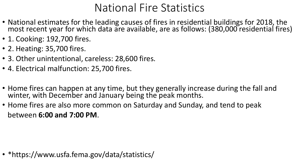#### National Fire Statistics

- National estimates for the leading causes of fires in residential buildings for 2018, the most recent year for which data are available, are as follows: (380,000 residential fires)
- 1. Cooking: 192,700 fires.
- 2. Heating: 35,700 fires.
- 3. Other unintentional, careless: 28,600 fires.
- 4. Electrical malfunction: 25,700 fires.
- Home fires can happen at any time, but they generally increase during the fall and winter, with December and January being the peak months.
- Home fires are also more common on Saturday and Sunday, and tend to peak between **6:00 and 7:00 PM**.

• \*https://www.usfa.fema.gov/data/statistics/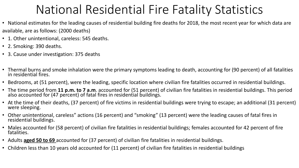### National Residential Fire Fatality Statistics

- National estimates for the leading causes of residential building fire deaths for 2018, the most recent year for which data are available, are as follows: (2000 deaths)
- 1. Other unintentional, careless: 545 deaths.
- 2. Smoking: 390 deaths.
- 3. Cause under investigation: 375 deaths
- Thermal burns and smoke inhalation were the primary symptoms leading to death, accounting for (90 percent) of all fatalities in residential fires.
- Bedrooms, at (51 percent), were the leading, specific location where civilian fire fatalities occurred in residential buildings.
- The time period from **11 p.m. to 7 a.m**. accounted for (51 percent) of civilian fire fatalities in residential buildings. This period also accounted for (47 percent) of fatal fires in residential buildings.
- At the time of their deaths, (37 percent) of fire victims in residential buildings were trying to escape; an additional (31 percent) were sleeping.
- Other unintentional, careless" actions (16 percent) and "smoking" (13 percent) were the leading causes of fatal fires in residential buildings.
- Males accounted for (58 percent) of civilian fire fatalities in residential buildings; females accounted for 42 percent of fire fatalities.
- Adults **aged 50 to 69** accounted for (37 percent) of civilian fire fatalities in residential buildings.
- Children less than 10 years old accounted for (11 percent) of civilian fire fatalities in residential buildings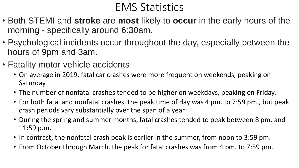#### EMS Statistics

- Both STEMI and **stroke** are **most** likely to **occur** in the early hours of the morning - specifically around 6:30am.
- Psychological incidents occur throughout the day, especially between the hours of 9pm and 3am.
- Fatality motor vehicle accidents
	- On average in 2019, fatal car crashes were more frequent on weekends, peaking on Saturday.
	- The number of nonfatal crashes tended to be higher on weekdays, peaking on Friday.
	- For both fatal and nonfatal crashes, the peak time of day was 4 pm. to 7:59 pm., but peak crash periods vary substantially over the span of a year:
	- During the spring and summer months, fatal crashes tended to peak between 8 pm. and 11:59 p.m.
	- In contrast, the nonfatal crash peak is earlier in the summer, from noon to 3:59 pm.
	- From October through March, the peak for fatal crashes was from 4 pm. to 7:59 pm.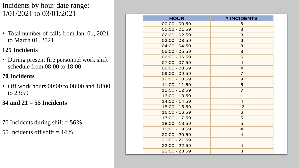Incidents by hour date range: 1/01/2021 to 03/01/2021

• Total number of calls from Jan. 01, 2021 to March 01, 2021

#### **125 Incidents**

• During present fire personnel work shift schedule from 08:00 to 18:00

#### **70 Incidents**

• Off work hours 00:00 to 08:00 and 18:00 to 23:59

**34 and 21 = 55 Incidents**

70 Incidents during shift = **56%**

55 Incidents off shift = **44%**

| <b>HOUR</b>     | # INCIDENTS    |
|-----------------|----------------|
| $00:00 - 00:59$ | 6              |
| $01:00 - 01:59$ | 3              |
| $02:00 - 02:59$ | 3              |
| $03:00 - 03:59$ | 6              |
| $04:00 - 04:59$ | 3              |
| $05:00 - 05:59$ | 3              |
| $06:00 - 06:59$ | 6              |
| $07:00 - 07:59$ | $\overline{4}$ |
| $08:00 - 08:59$ | $\overline{4}$ |
| 09:00 - 09:59   | $\overline{7}$ |
| 10:00 - 10:59   | 9              |
| 11:00 - 11:59   | 5              |
| 12:00 - 12:59   | $\overline{7}$ |
| 13:00 - 13:59   | 11             |
| 14:00 - 14:59   | $\overline{4}$ |
| 15:00 - 15:59   | 12             |
| 16:00 - 16:59   | 6              |
| 17:00 - 17:59   | 5              |
| 18:00 - 18:59   | 5              |
| 19:00 - 19:59   | $\overline{4}$ |
| 20:00 - 20:59   | $\overline{4}$ |
| $21:00 - 21:59$ | $\mathbf 1$    |
| 22:00 - 22:59   | $\overline{4}$ |
| 23:00 - 23:59   | 3              |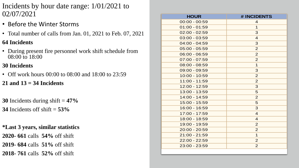- Incidents by hour date range: 1/01/2021 to 02/07/2021
- Before the Winter Storms

• Total number of calls from Jan. 01, 2021 to Feb. 07, 2021

#### **64 Incidents**

• During present fire personnel work shift schedule from 08:00 to 18:00

#### **30 Incidents**

• Off work hours 00:00 to 08:00 and 18:00 to 23:59

#### **21 and 13 = 34 Incidents**

**30** Incidents during shift = **47% 34** Incidents off shift = **53%**

**\*Last 3 years, similar statistics 2020- 661** calls **54%** off shift **2019- 684** calls **51%** off shift **2018- 761** calls **52%** off shift

| <b>HOUR</b>     | # INCIDENTS    |
|-----------------|----------------|
| $00:00 - 00:59$ | $\overline{4}$ |
| $01:00 - 01:59$ | $\mathbf 1$    |
| $02:00 - 02:59$ | 3              |
| $03:00 - 03:59$ | $\overline{4}$ |
| $04:00 - 04:59$ | 3              |
| $05:00 - 05:59$ | $\overline{2}$ |
| $06:00 - 06:59$ | $\overline{2}$ |
| $07:00 - 07:59$ | $\overline{2}$ |
| $08:00 - 08:59$ | $\mathbf{1}$   |
| 09:00 - 09:59   | 3              |
| 10:00 - 10:59   | $\overline{2}$ |
| 11:00 - 11:59   | 2              |
| 12:00 - 12:59   | 3              |
| 13:00 - 13:59   | 5              |
| 14:00 - 14:59   | $\overline{2}$ |
| 15:00 - 15:59   | 5              |
| 16:00 - 16:59   | 3              |
| 17:00 - 17:59   | $\overline{4}$ |
| 18:00 - 18:59   | $\overline{4}$ |
| 19:00 - 19:59   | $\overline{2}$ |
| 20:00 - 20:59   | $\overline{2}$ |
| 21:00 - 21:59   | $\mathbf 1$    |
| 22:00 - 22:59   | $\overline{2}$ |
| 23:00 - 23:59   | $\overline{2}$ |
|                 |                |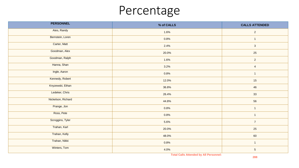#### Percentage

| <b>PERSONNEL</b>   | % of CALLS | <b>CALLS ATTENDED</b> |
|--------------------|------------|-----------------------|
| Ates, Randy        | 1.6%       | $\overline{2}$        |
| Bernstein, Loren   | 0.8%       | $\mathbf{1}$          |
| Carter, Matt       | 2.4%       | $\sqrt{3}$            |
| Goodman, Alex      | 20.0%      | 25                    |
| Goodman, Ralph     | 1.6%       | $\overline{2}$        |
| Hanna, Shan        | 3.2%       | $\overline{4}$        |
| Ingle, Aaron       | 0.8%       | $\overline{1}$        |
| Kennedy, Robert    | 12.0%      | 15                    |
| Knyzewski, Ethan   | 36.8%      | 46                    |
| Ledeker, Chris     | 26.4%      | 33                    |
| Nickelson, Richard | 44.8%      | 56                    |
| Prange, Jon        | 0.8%       | $\mathbf{1}$          |
| Ross, Pete         | 0.8%       | $\overline{1}$        |
| Scroggins, Tyler   | 5.6%       | $\overline{7}$        |
| Trahan, Karl       | 20.0%      | 25                    |
| Trahan, Kelly      | 48.0%      | 60                    |
| Trahan, Nikki      | 0.8%       | $\overline{1}$        |
| Winters, Tom       | 4.0%       | $\overline{5}$        |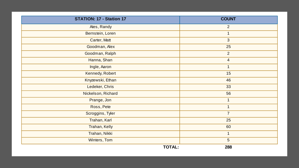| STATION: 17 - Station 17 |               | <b>COUNT</b>   |  |
|--------------------------|---------------|----------------|--|
| Ates, Randy              |               | 2              |  |
| Bernstein, Loren         |               | $\mathbf 1$    |  |
| Carter, Matt             |               | $\mathbf{3}$   |  |
| Goodman, Alex            |               | 25             |  |
| Goodman, Ralph           |               | 2              |  |
| Hanna, Shan              |               | $\overline{4}$ |  |
| Ingle, Aaron             |               | $\overline{1}$ |  |
| Kennedy, Robert          |               | 15             |  |
| Knyzewski, Ethan         |               | 46             |  |
| Ledeker, Chris           |               | 33             |  |
| Nickelson, Richard       |               | 56             |  |
| Prange, Jon              |               | $\mathbf 1$    |  |
| Ross, Pete               |               | 1              |  |
| Scroggins, Tyler         |               | $\overline{7}$ |  |
| Trahan, Karl             |               | 25             |  |
| Trahan, Kelly            |               | 60             |  |
| Trahan, Nikki            |               | $\mathbf{1}$   |  |
| Winters, Tom             |               | 5              |  |
|                          | <b>TOTAL:</b> | 288            |  |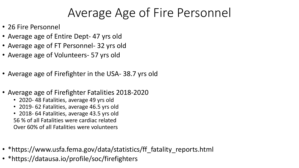## Average Age of Fire Personnel

- 26 Fire Personnel
- Average age of Entire Dept- 47 yrs old
- Average age of FT Personnel- 32 yrs old
- Average age of Volunteers- 57 yrs old
- Average age of Firefighter in the USA- 38.7 yrs old
- Average age of Firefighter Fatalities 2018-2020
	- 2020- 48 Fatalities, average 49 yrs old
	- 2019- 62 Fatalities, average 46.5 yrs old
	- 2018- 64 Fatalities, average 43.5 yrs old 56 % of all Fatalities were cardiac related Over 60% of all Fatalities were volunteers
- \*https://www.usfa.fema.gov/data/statistics/ff\_fatality\_reports.html
- \*https://datausa.io/profile/soc/firefighters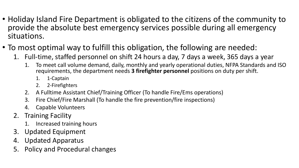- Holiday Island Fire Department is obligated to the citizens of the community to provide the absolute best emergency services possible during all emergency situations.
- To most optimal way to fulfill this obligation, the following are needed:
	- 1. Full-time, staffed personnel on shift 24 hours a day, 7 days a week, 365 days a year
		- 1. To meet call volume demand, daily, monthly and yearly operational duties, NFPA Standards and ISO requirements, the department needs **3 firefighter personnel** positions on duty per shift.
			- 1. 1-Captain
			- 2. 2-Firefighters
		- 2. A Fulltime Assistant Chief/Training Officer (To handle Fire/Ems operations)
		- 3. Fire Chief/Fire Marshall (To handle the fire prevention/fire inspections)
		- 4. Capable Volunteers
	- 2. Training Facility
		- 1. Increased training hours
	- 3. Updated Equipment
	- 4. Updated Apparatus
	- 5. Policy and Procedural changes